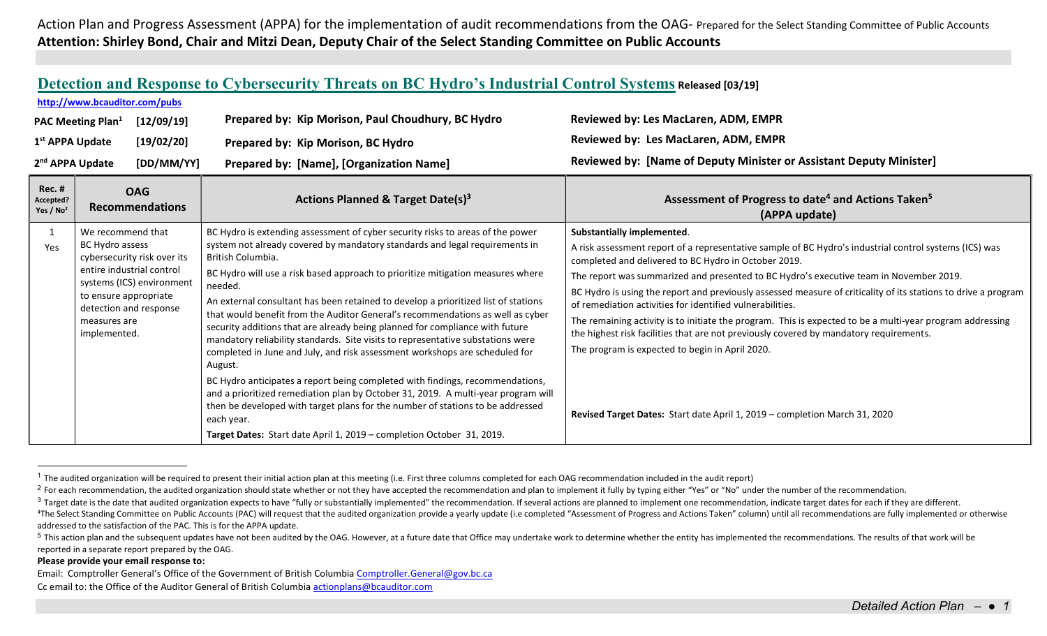Action Plan and Progress Assessment (APPA) for the implementation of audit recommendations from the OAG- Prepared for the Select Standing Committee of Public Accounts Attention: Shirley Bond, Chair and Mitzi Dean, Deputy Chair of the Select Standing Committee on Public Accounts

|  |  | Detection and Response to Cybersecurity Threats on BC Hydro's Industrial Control Systems Released [03/19] |
|--|--|-----------------------------------------------------------------------------------------------------------|
|--|--|-----------------------------------------------------------------------------------------------------------|

## http://www.bcauditor.com/pubs

| PAC Meeting Plan <sup>1</sup> | [12/09/19] | Prepared by: Kip Morison, Paul Choudhury, BC Hydro | Reviewed by: Les MacLaren, ADM, EMPR                                |
|-------------------------------|------------|----------------------------------------------------|---------------------------------------------------------------------|
| 1 <sup>st</sup> APPA Update   | [19/02/20] | Prepared by: Kip Morison, BC Hydro                 | Reviewed by: Les MacLaren, ADM, EMPR                                |
| 2 <sup>nd</sup> APPA Update   | [DD/MM/YY] | <b>Prepared by: [Name], [Organization Name]</b>    | Reviewed by: [Name of Deputy Minister or Assistant Deputy Minister] |

| <b>Rec. #</b><br>Accepted?<br>Yes / $No2$ | <b>OAG</b><br><b>Recommendations</b>                                                                                                                                                                             | <b>Actions Planned &amp; Target Date(s)3</b>                                                                                                                                                                                                                                                                                                                                                                                                                                                                                                                                                                                                                                                                                                                                                                                                                                                                                                                                                                                                                         | Assessment of Progress to date <sup>4</sup> and Actions Taken <sup>5</sup><br>(APPA update)                                                                                                                                                                                                                                                                                                                                                                                                                                                                                                                                                                                                                                                                                                                   |
|-------------------------------------------|------------------------------------------------------------------------------------------------------------------------------------------------------------------------------------------------------------------|----------------------------------------------------------------------------------------------------------------------------------------------------------------------------------------------------------------------------------------------------------------------------------------------------------------------------------------------------------------------------------------------------------------------------------------------------------------------------------------------------------------------------------------------------------------------------------------------------------------------------------------------------------------------------------------------------------------------------------------------------------------------------------------------------------------------------------------------------------------------------------------------------------------------------------------------------------------------------------------------------------------------------------------------------------------------|---------------------------------------------------------------------------------------------------------------------------------------------------------------------------------------------------------------------------------------------------------------------------------------------------------------------------------------------------------------------------------------------------------------------------------------------------------------------------------------------------------------------------------------------------------------------------------------------------------------------------------------------------------------------------------------------------------------------------------------------------------------------------------------------------------------|
| Yes                                       | We recommend that<br>BC Hydro assess<br>cybersecurity risk over its<br>entire industrial control<br>systems (ICS) environment<br>to ensure appropriate<br>detection and response<br>measures are<br>implemented. | BC Hydro is extending assessment of cyber security risks to areas of the power<br>system not already covered by mandatory standards and legal requirements in<br>British Columbia.<br>BC Hydro will use a risk based approach to prioritize mitigation measures where<br>needed.<br>An external consultant has been retained to develop a prioritized list of stations<br>that would benefit from the Auditor General's recommendations as well as cyber<br>security additions that are already being planned for compliance with future<br>mandatory reliability standards. Site visits to representative substations were<br>completed in June and July, and risk assessment workshops are scheduled for<br>August.<br>BC Hydro anticipates a report being completed with findings, recommendations,<br>and a prioritized remediation plan by October 31, 2019. A multi-year program will<br>then be developed with target plans for the number of stations to be addressed<br>each year.<br>Target Dates: Start date April 1, 2019 - completion October 31, 2019. | Substantially implemented.<br>A risk assessment report of a representative sample of BC Hydro's industrial control systems (ICS) was<br>completed and delivered to BC Hydro in October 2019.<br>The report was summarized and presented to BC Hydro's executive team in November 2019.<br>BC Hydro is using the report and previously assessed measure of criticality of its stations to drive a program<br>of remediation activities for identified vulnerabilities.<br>The remaining activity is to initiate the program. This is expected to be a multi-year program addressing<br>the highest risk facilities that are not previously covered by mandatory requirements.<br>The program is expected to begin in April 2020.<br>Revised Target Dates: Start date April 1, 2019 - completion March 31, 2020 |

<sup>&</sup>lt;sup>1</sup> The audited organization will be required to present their initial action plan at this meeting (i.e. First three columns completed for each OAG recommendation included in the audit report)

## Please provide your email response to:

 $\overline{a}$ 

Email: Comptroller General's Office of the Government of British Columbia Comptroller.General@gov.bc.ca Cc email to: the Office of the Auditor General of British Columbia actionplans@bcauditor.com

<sup>&</sup>lt;sup>2</sup> For each recommendation, the audited organization should state whether or not they have accepted the recommendation and plan to implement it fully by typing either "Yes" or "No" under the number of the recommendation.

<sup>&</sup>lt;sup>3</sup> Target date is the date that audited organization expects to have "fully or substantially implemented" the recommendation. If several actions are planned to implement one recommendation, indicate target dates for each <sup>4</sup>The Select Standing Committee on Public Accounts (PAC) will request that the audited organization provide a yearly update (i.e completed "Assessment of Progress and Actions Taken" column) until all recommendations are f addressed to the satisfaction of the PAC. This is for the APPA update.

<sup>&</sup>lt;sup>5</sup> This action plan and the subsequent updates have not been audited by the OAG. However, at a future date that Office may undertake work to determine whether the entity has implemented the recommendations. The results of reported in a separate report prepared by the OAG.